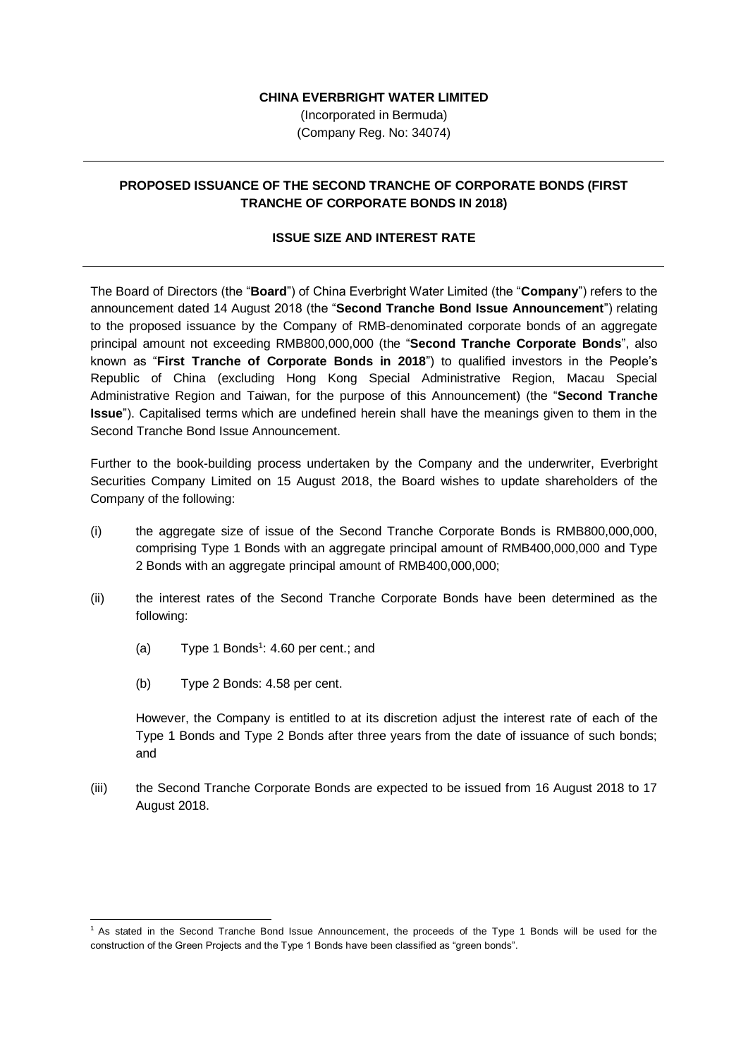## **CHINA EVERBRIGHT WATER LIMITED**

(Incorporated in Bermuda) (Company Reg. No: 34074)

## **PROPOSED ISSUANCE OF THE SECOND TRANCHE OF CORPORATE BONDS (FIRST TRANCHE OF CORPORATE BONDS IN 2018)**

## **ISSUE SIZE AND INTEREST RATE**

The Board of Directors (the "**Board**") of China Everbright Water Limited (the "**Company**") refers to the announcement dated 14 August 2018 (the "**Second Tranche Bond Issue Announcement**") relating to the proposed issuance by the Company of RMB-denominated corporate bonds of an aggregate principal amount not exceeding RMB800,000,000 (the "**Second Tranche Corporate Bonds**", also known as "**First Tranche of Corporate Bonds in 2018**") to qualified investors in the People's Republic of China (excluding Hong Kong Special Administrative Region, Macau Special Administrative Region and Taiwan, for the purpose of this Announcement) (the "**Second Tranche Issue**"). Capitalised terms which are undefined herein shall have the meanings given to them in the Second Tranche Bond Issue Announcement.

Further to the book-building process undertaken by the Company and the underwriter, Everbright Securities Company Limited on 15 August 2018, the Board wishes to update shareholders of the Company of the following:

- (i) the aggregate size of issue of the Second Tranche Corporate Bonds is RMB800,000,000, comprising Type 1 Bonds with an aggregate principal amount of RMB400,000,000 and Type 2 Bonds with an aggregate principal amount of RMB400,000,000;
- (ii) the interest rates of the Second Tranche Corporate Bonds have been determined as the following:
	- (a) Type 1 Bonds<sup>1</sup>: 4.60 per cent.; and
	- (b) Type 2 Bonds: 4.58 per cent.

1

However, the Company is entitled to at its discretion adjust the interest rate of each of the Type 1 Bonds and Type 2 Bonds after three years from the date of issuance of such bonds; and

(iii) the Second Tranche Corporate Bonds are expected to be issued from 16 August 2018 to 17 August 2018.

<sup>1</sup> As stated in the Second Tranche Bond Issue Announcement, the proceeds of the Type 1 Bonds will be used for the construction of the Green Projects and the Type 1 Bonds have been classified as "green bonds".